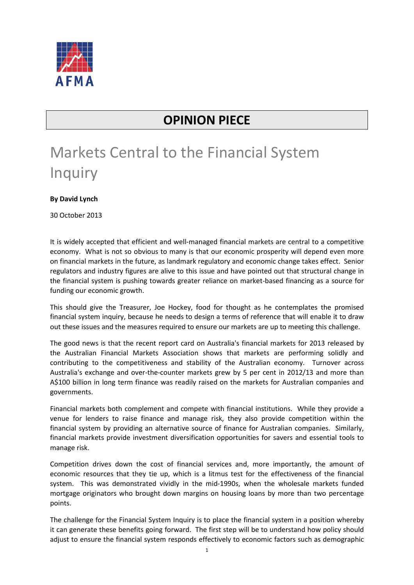

## **OPINION PIECE**

## Markets Central to the Financial System **Inquiry**

**By David Lynch** 

30 October 2013

It is widely accepted that efficient and well-managed financial markets are central to a competitive economy. What is not so obvious to many is that our economic prosperity will depend even more on financial markets in the future, as landmark regulatory and economic change takes effect. Senior regulators and industry figures are alive to this issue and have pointed out that structural change in the financial system is pushing towards greater reliance on market-based financing as a source for funding our economic growth.

This should give the Treasurer, Joe Hockey, food for thought as he contemplates the promised financial system inquiry, because he needs to design a terms of reference that will enable it to draw out these issues and the measures required to ensure our markets are up to meeting this challenge.

The good news is that the recent report card on Australia's financial markets for 2013 released by the Australian Financial Markets Association shows that markets are performing solidly and contributing to the competitiveness and stability of the Australian economy. Turnover across Australia's exchange and over-the-counter markets grew by 5 per cent in 2012/13 and more than A\$100 billion in long term finance was readily raised on the markets for Australian companies and governments.

Financial markets both complement and compete with financial institutions. While they provide a venue for lenders to raise finance and manage risk, they also provide competition within the financial system by providing an alternative source of finance for Australian companies. Similarly, financial markets provide investment diversification opportunities for savers and essential tools to manage risk.

Competition drives down the cost of financial services and, more importantly, the amount of economic resources that they tie up, which is a litmus test for the effectiveness of the financial system. This was demonstrated vividly in the mid-1990s, when the wholesale markets funded mortgage originators who brought down margins on housing loans by more than two percentage points.

The challenge for the Financial System Inquiry is to place the financial system in a position whereby it can generate these benefits going forward. The first step will be to understand how policy should adjust to ensure the financial system responds effectively to economic factors such as demographic